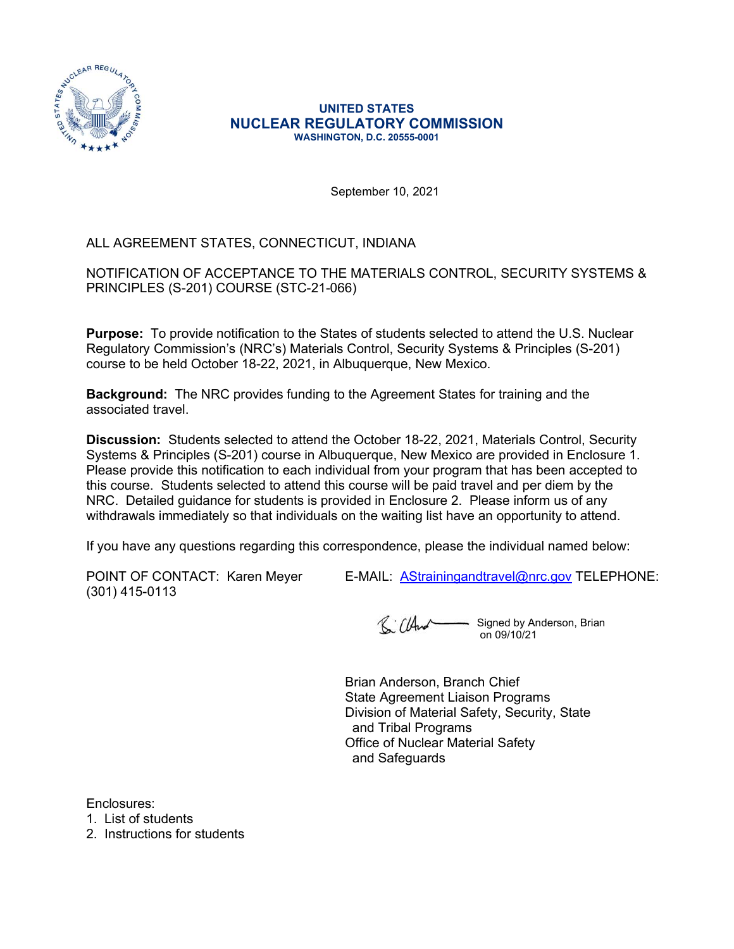

## UNITED STATES NUCLEAR REGULATORY COMMISSION WASHINGTON, D.C. 20555-0001

September 10, 2021

## ALL AGREEMENT STATES, CONNECTICUT, INDIANA

NOTIFICATION OF ACCEPTANCE TO THE MATERIALS CONTROL, SECURITY SYSTEMS & PRINCIPLES (S-201) COURSE (STC-21-066)

Purpose: To provide notification to the States of students selected to attend the U.S. Nuclear Regulatory Commission's (NRC's) Materials Control, Security Systems & Principles (S-201) course to be held October 18-22, 2021, in Albuquerque, New Mexico.

Background: The NRC provides funding to the Agreement States for training and the associated travel.

**Discussion:** Students selected to attend the October 18-22, 2021, Materials Control, Security Systems & Principles (S-201) course in Albuquerque, New Mexico are provided in Enclosure 1. Please provide this notification to each individual from your program that has been accepted to this course. Students selected to attend this course will be paid travel and per diem by the NRC. Detailed guidance for students is provided in Enclosure 2. Please inform us of any withdrawals immediately so that individuals on the waiting list have an opportunity to attend. NOTIFICATION OF ACCEPTANCE TO THE MATERIALS CONTROL, SECURITY SYSTEMS &<br>
PRINCIPLES (S-201) COURSE (STC-21-066)<br>
Purpose: To provide notification to the States of students selected to attend the U.S. Nuclear<br>
Regulatory Co

If you have any questions regarding this correspondence, please the individual named below:

(301) 415-0113

Signed by Anderson, Brian on 09/10/21

Brian Anderson, Branch Chief State Agreement Liaison Programs Division of Material Safety, Security, State and Tribal Programs Office of Nuclear Material Safety and Safeguards

Enclosures:

1. List of students

2. Instructions for students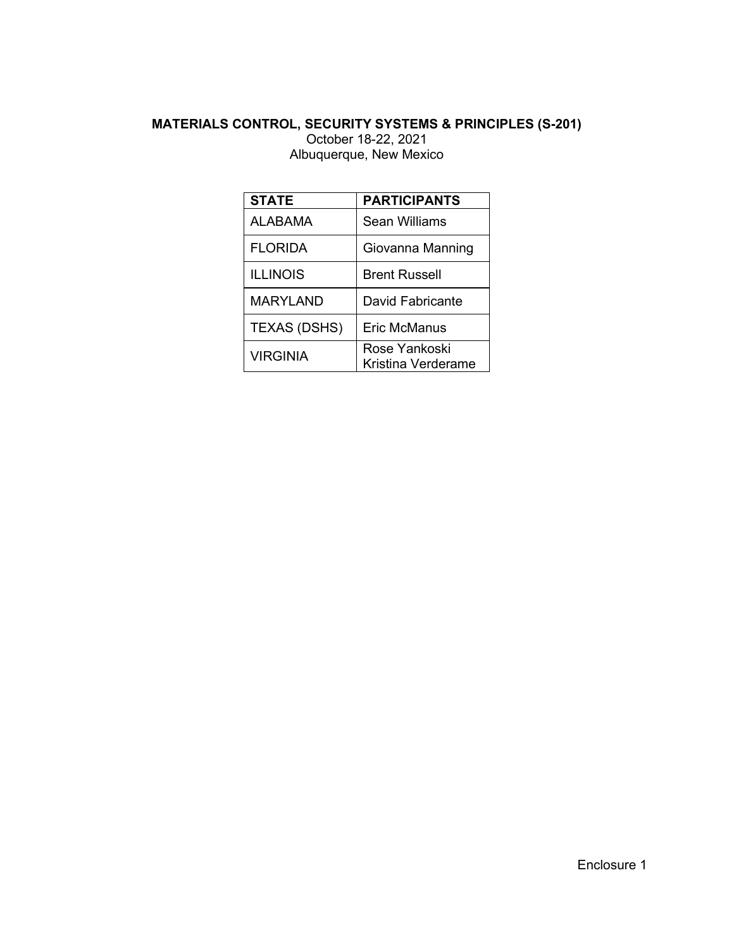## MATERIALS CONTROL, SECURITY SYSTEMS & PRINCIPLES (S-201) October 18-22, 2021

|                     | <b>ONTROL, SECURITY SYSTEMS &amp; PRINCIPLES (S-201)</b> |
|---------------------|----------------------------------------------------------|
|                     | October 18-22, 2021<br>Albuquerque, New Mexico           |
|                     |                                                          |
| <b>STATE</b>        | <b>PARTICIPANTS</b>                                      |
| <b>ALABAMA</b>      | <b>Sean Williams</b>                                     |
|                     |                                                          |
| <b>FLORIDA</b>      | Giovanna Manning                                         |
| <b>ILLINOIS</b>     | <b>Brent Russell</b>                                     |
| <b>MARYLAND</b>     | David Fabricante                                         |
| <b>TEXAS (DSHS)</b> | <b>Eric McManus</b>                                      |